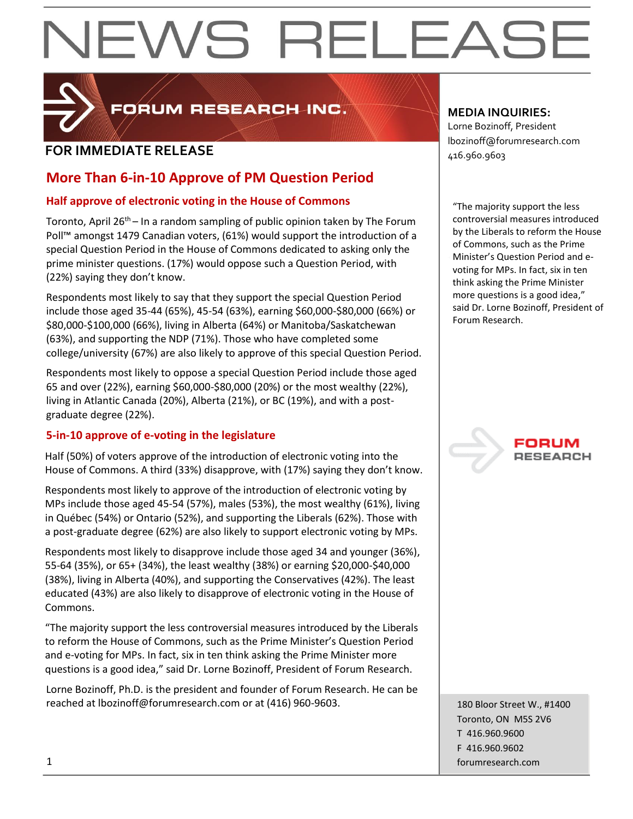# EWS RELEAS



FORUM RESEARCH INC.

### **FOR IMMEDIATE RELEASE**  $\begin{bmatrix} 1.56 & 0.0000 & 0.00000 & 0.00000 & 0.00000 & 0.00000 & 0.00000 & 0.00000 & 0.00000 & 0.00000 & 0.00000 & 0.00000 & 0.00000 & 0.00000 & 0.00000 & 0.00000 & 0.00000 & 0.00000 & 0.00000 & 0.00000 & 0.00000 & 0.000$

#### **More Than 6-in-10 Approve of PM Question Period**

#### **Half approve of electronic voting in the House of Commons**

Toronto, April 26<sup>th</sup> – In a random sampling of public opinion taken by The Forum Poll™ amongst 1479 Canadian voters, (61%) would support the introduction of a special Question Period in the House of Commons dedicated to asking only the prime minister questions. (17%) would oppose such a Question Period, with (22%) saying they don't know.

Respondents most likely to say that they support the special Question Period include those aged 35-44 (65%), 45-54 (63%), earning \$60,000-\$80,000 (66%) or \$80,000-\$100,000 (66%), living in Alberta (64%) or Manitoba/Saskatchewan (63%), and supporting the NDP (71%). Those who have completed some college/university (67%) are also likely to approve of this special Question Period.

Respondents most likely to oppose a special Question Period include those aged 65 and over (22%), earning \$60,000-\$80,000 (20%) or the most wealthy (22%), living in Atlantic Canada (20%), Alberta (21%), or BC (19%), and with a postgraduate degree (22%).

#### **5-in-10 approve of e-voting in the legislature**

Half (50%) of voters approve of the introduction of electronic voting into the House of Commons. A third (33%) disapprove, with (17%) saying they don't know.

Respondents most likely to approve of the introduction of electronic voting by MPs include those aged 45-54 (57%), males (53%), the most wealthy (61%), living in Québec (54%) or Ontario (52%), and supporting the Liberals (62%). Those with a post-graduate degree (62%) are also likely to support electronic voting by MPs.

Respondents most likely to disapprove include those aged 34 and younger (36%), 55-64 (35%), or 65+ (34%), the least wealthy (38%) or earning \$20,000-\$40,000 (38%), living in Alberta (40%), and supporting the Conservatives (42%). The least educated (43%) are also likely to disapprove of electronic voting in the House of Commons.

"The majority support the less controversial measures introduced by the Liberals to reform the House of Commons, such as the Prime Minister's Question Period and e-voting for MPs. In fact, six in ten think asking the Prime Minister more questions is a good idea," said Dr. Lorne Bozinoff, President of Forum Research.

Lorne Bozinoff, Ph.D. is the president and founder of Forum Research. He can be reached at lbozinoff@forumresearch.com or at (416) 960-9603.

#### **MEDIA INQUIRIES:**

Lorne Bozinoff, President lbozinoff@forumresearch.com

"The majority support the less controversial measures introduced by the Liberals to reform the House of Commons, such as the Prime Minister's Question Period and evoting for MPs. In fact, six in ten think asking the Prime Minister more questions is a good idea," said Dr. Lorne Bozinoff, President of Forum Research.



180 Bloor Street W., #1400 Toronto, ON M5S 2V6 T 416.960.9600 F 416.960.9602 1 forumresearch.com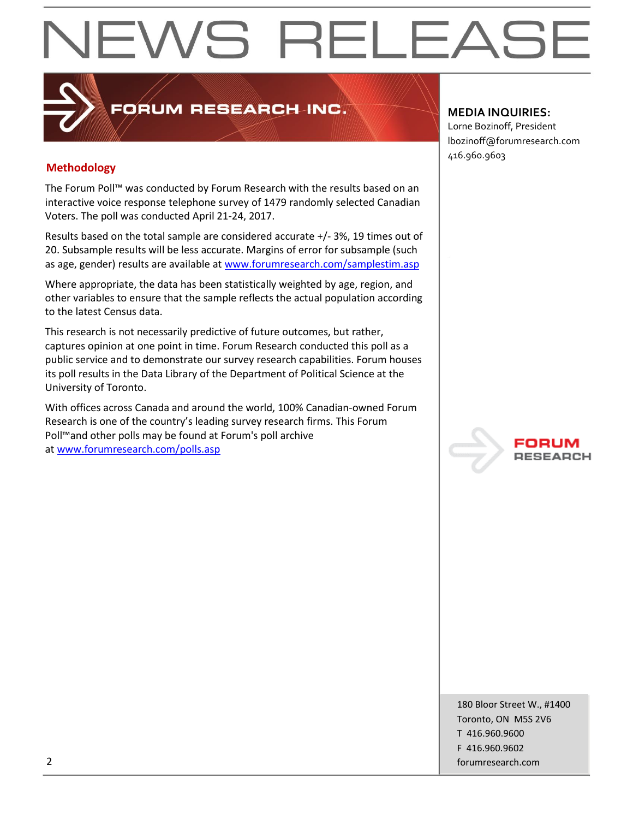## EWS RELEAS

#### **Methodology**

The Forum Poll™ was conducted by Forum Research with the results based on an interactive voice response telephone survey of 1479 randomly selected Canadian Voters. The poll was conducted April 21-24, 2017.

**PORUM RESEARCH INC.** 

Results based on the total sample are considered accurate +/- 3%, 19 times out of 20. Subsample results will be less accurate. Margins of error for subsample (such as age, gender) results are available at [www.forumresearch.com/samplestim.asp](http://www.forumresearch.com/samplestim.asp)

Where appropriate, the data has been statistically weighted by age, region, and other variables to ensure that the sample reflects the actual population according to the latest Census data.

This research is not necessarily predictive of future outcomes, but rather, captures opinion at one point in time. Forum Research conducted this poll as a public service and to demonstrate our survey research capabilities. Forum houses its poll results in the Data Library of the Department of Political Science at the University of Toronto.

With offices across Canada and around the world, 100% Canadian-owned Forum Research is one of the country's leading survey research firms. This Forum Poll™and other polls may be found at Forum's poll archive at [www.forumresearch.com/polls.asp](http://www.forumresearch.com/polls.asp)

#### **MEDIA INQUIRIES:**

Lorne Bozinoff, President lbozinoff@forumresearch.com 416.960.9603



180 Bloor Street W., #1400 Toronto, ON M5S 2V6 T 416.960.9600 F 416.960.9602 2 forumresearch.com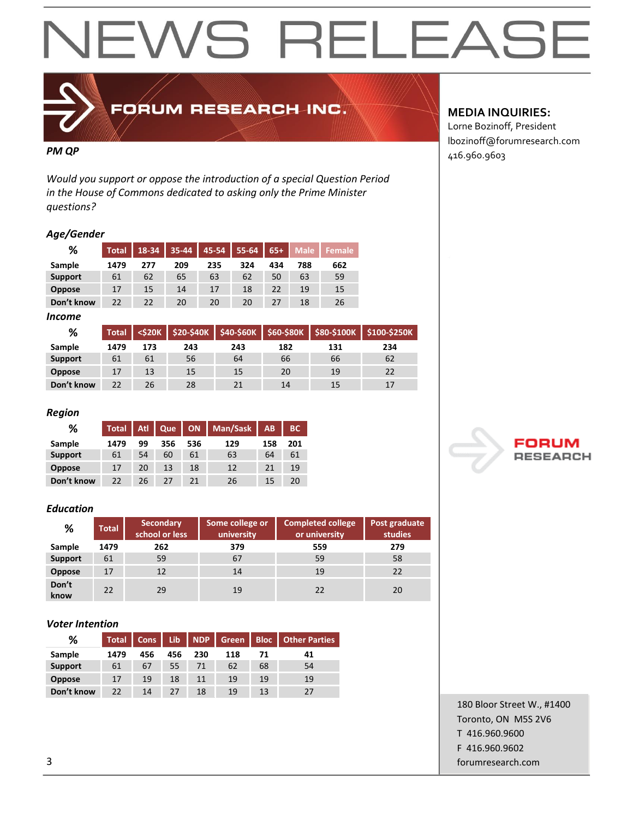### EWS RELEAS  $\blacktriangleleft$



### FORUM RESEARCH INC.

*Would you support or oppose the introduction of a special Question Period in the House of Commons dedicated to asking only the Prime Minister questions?*

#### *Age/Gender*

| %              | <b>Total</b> | 18-34 | $35 - 44$ | 45-54 | 55-64 | $65+$ | <b>Male</b> | ا Female |
|----------------|--------------|-------|-----------|-------|-------|-------|-------------|----------|
| Sample         | 1479         | 277   | 209       | 235   | 324   | 434   | 788         | 662      |
| <b>Support</b> | 61           | 62    | 65        | 63    | 62    | 50    | 63          | 59       |
| <b>Oppose</b>  | 17           | 15    | 14        | 17    | 18    | 22    | 19          | 15       |
| Don't know     | 22           | 22    | 20        | 20    | 20    | 27    | 18          | 26       |

#### *Income*

| %              | <b>Total</b> | <\$20K |     |     |     | $$20-$40K$ $$40-$60K$ $$60-$80K$ $$80-$100K$ | \$100-\$250K |
|----------------|--------------|--------|-----|-----|-----|----------------------------------------------|--------------|
| Sample         | 1479         | 173    | 243 | 243 | 182 | 131                                          | 234          |
| <b>Support</b> | 61           | 61     | 56  | 64  | 66  | 66                                           | 62           |
| <b>Oppose</b>  | 17           | 13     | 15  | 15  | 20  | 19                                           | 22           |
| Don't know     | 22           | 26     | 28  | 21  | 14  | 15                                           | 17           |

#### *Region*

| %              | <b>Total</b> | Atl | Que | <b>ON</b> | Man/Sask | <b>AB</b> | <b>BC</b> |
|----------------|--------------|-----|-----|-----------|----------|-----------|-----------|
| Sample         | 1479         | 99  | 356 | 536       | 129      | 158       | 201       |
| <b>Support</b> | 61           | 54  | 60  | 61        | 63       | 64        | 61        |
| <b>Oppose</b>  | 17           | 20  | 13  | 18        | 12       | 21        | 19        |
| Don't know     | 22           | 26  | 27  | 21        | 26       | 15        | 20        |

#### *Education*

| %              | <b>Total</b> | <b>Secondary</b><br>school or less | Some college or<br>university | <b>Completed college</b><br>or university | Post graduate<br>studies |
|----------------|--------------|------------------------------------|-------------------------------|-------------------------------------------|--------------------------|
| Sample         | 1479         | 262                                | 379                           | 559                                       | 279                      |
| <b>Support</b> | 61           | 59                                 | 67                            | 59                                        | 58                       |
| <b>Oppose</b>  | 17           | 12                                 | 14                            | 19                                        | 22                       |
| Don't<br>know  | 22           | 29                                 | 19                            | 22                                        | 20                       |

#### *Voter Intention*

| %              | <b>Total</b> | <b>Cons</b> | Lib | <b>NDP</b> | Green | <b>Bloc</b> | <b>Other Parties</b> |
|----------------|--------------|-------------|-----|------------|-------|-------------|----------------------|
| Sample         | 1479         | 456         | 456 | 230        | 118   | 71          | 41                   |
| <b>Support</b> | 61           | 67          | 55  | 71         | 62    | 68          | 54                   |
| <b>Oppose</b>  | 17           | 19          | 18  | 11         | 19    | 19          | 19                   |
| Don't know     | 22           | 14          | 27  | 18         | 19    | 13          | 27                   |

#### **MEDIA INQUIRIES:**

Lorne Bozinoff, President lbozinoff@forumresearch.com **PM QP** 416.960.9603



180 Bloor Street W., #1400 Toronto, ON M5S 2V6 T 416.960.9600 F 416.960.9602 3 forumresearch.com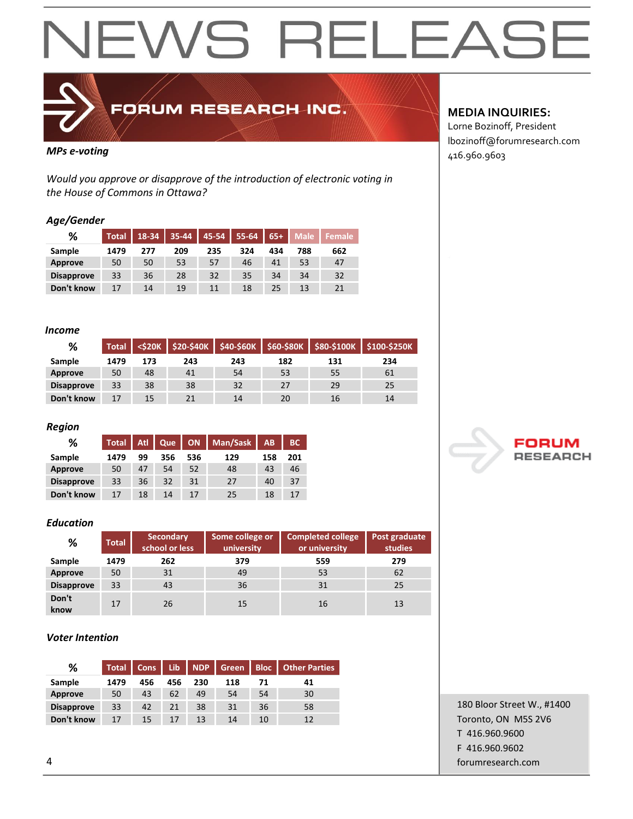## **NEWS RELEAS**



FORUM RESEARCH INC.

*Would you approve or disapprove of the introduction of electronic voting in the House of Commons in Ottawa?*

#### *Age/Gender*

| %                 | <b>Total</b> | 18-34 | 35-44 | 45-54 | $55 - 64$ | $65+$  | <b>Male</b> | <b>Female</b> |
|-------------------|--------------|-------|-------|-------|-----------|--------|-------------|---------------|
| Sample            | 1479         | 277   | 209   | 235   | 324       | 434    | 788         | 662           |
| Approve           | 50           | 50    | 53    | 57    | 46        | 41     | 53          | 47            |
| <b>Disapprove</b> | 33           | 36    | 28    | 32    | 35        | 34     | 34          | 32            |
| Don't know        | 17           | 14    | 19    | 11    | 18        | $25 -$ | 13          | 21            |

#### *Income*

| %                 | <b>Total</b> | <s20k< th=""><th></th><th></th><th><math>\$20-\$40K</math> <math>\$40-\$60K</math> <math>\$60-\$80K</math></th><th>\$80-\$100K</th><th>\$100-\$250K</th></s20k<> |     |     | $$20-$40K$ $$40-$60K$ $$60-$80K$ | \$80-\$100K | \$100-\$250K |
|-------------------|--------------|------------------------------------------------------------------------------------------------------------------------------------------------------------------|-----|-----|----------------------------------|-------------|--------------|
| Sample            | 1479         | 173                                                                                                                                                              | 243 | 243 | 182                              | 131         | 234          |
| Approve           | 50           | 48                                                                                                                                                               | 41  | 54  | 53                               | 55          | 61           |
| <b>Disapprove</b> | 33           | 38                                                                                                                                                               | 38  | 32  | 27                               | 29          | 25           |
| Don't know        | 17           | 15                                                                                                                                                               | 21  | 14  | 20                               | 16          | 14           |

#### *Region*

| %                 | <b>Total</b> | Atl | Que | ON  | Man/Sask | <b>AB</b> | <b>BC</b> |
|-------------------|--------------|-----|-----|-----|----------|-----------|-----------|
| Sample            | 1479         | 99  | 356 | 536 | 129      | 158       | 201       |
| <b>Approve</b>    | 50           | 47  | 54  | 52  | 48       | 43        | 46        |
| <b>Disapprove</b> | 33           | 36  | 32  | 31  | 27       | 40        | 37        |
| Don't know        | 17           | 18  | 14  | 17  | 25       | 18        |           |

#### *Education*

| %                 | <b>Total</b> | <b>Secondary</b><br>school or less | Some college or<br>university | <b>Completed college</b><br>or university | Post graduate<br>studies |  |
|-------------------|--------------|------------------------------------|-------------------------------|-------------------------------------------|--------------------------|--|
| Sample            | 1479         | 262                                | 379                           | 559                                       | 279                      |  |
| Approve           | 50           | 31                                 | 49                            | 53                                        | 62                       |  |
| <b>Disapprove</b> | 33           | 43                                 | 36                            | 31                                        | 25                       |  |
| Don't<br>know     | 17           | 26                                 | 15                            | 16                                        | 13                       |  |

#### *Voter Intention*

| %                 | <b>Total</b> | <b>Cons</b> | Lib | <b>NDP</b> | Green | <b>Bloc</b> | <b>Other Parties</b> |
|-------------------|--------------|-------------|-----|------------|-------|-------------|----------------------|
| Sample            | 1479         | 456         | 456 | 230        | 118   | 71          | 41                   |
| Approve           | 50           | 43          | 62  | 49         | 54    | 54          | 30                   |
| <b>Disapprove</b> | 33           | 42          | 21  | 38         | 31    | 36          | 58                   |
| Don't know        | 17           | 15          | 17  | 13         | 14    | 10          | 12                   |

#### **MEDIA INQUIRIES:**

Lorne Bozinoff, President lbozinoff@forumresearch.com *MPs e-voting*  $\begin{bmatrix} 416.960.9603 \end{bmatrix}$ 



180 Bloor Street W., #1400 Toronto, ON M5S 2V6 T 416.960.9600 F 416.960.9602 4 forumresearch.com